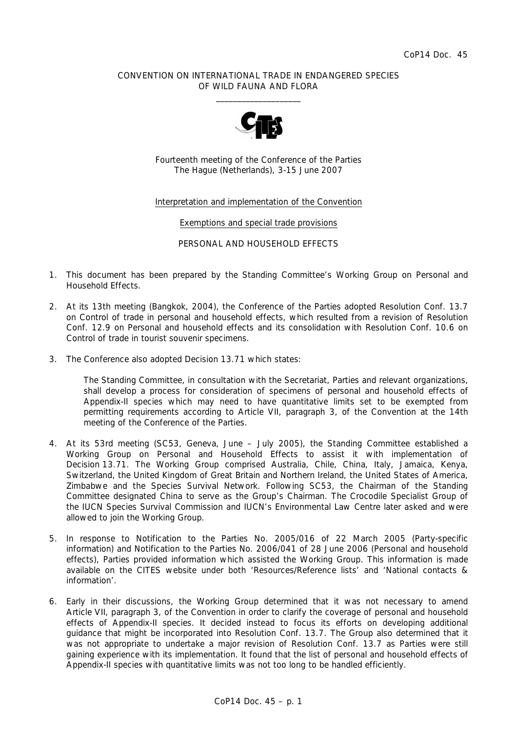## CONVENTION ON INTERNATIONAL TRADE IN ENDANGERED SPECIES OF WILD FAUNA AND FLORA  $\overline{\phantom{a}}$  , and the set of the set of the set of the set of the set of the set of the set of the set of the set of the set of the set of the set of the set of the set of the set of the set of the set of the set of the s



Fourteenth meeting of the Conference of the Parties The Hague (Netherlands), 3-15 June 2007

Interpretation and implementation of the Convention

Exemptions and special trade provisions

PERSONAL AND HOUSEHOLD EFFECTS

- 1. This document has been prepared by the Standing Committee's Working Group on Personal and Household Effects.
- 2. At its 13th meeting (Bangkok, 2004), the Conference of the Parties adopted Resolution Conf. 13.7 on Control of trade in personal and household effects, which resulted from a revision of Resolution Conf. 12.9 on Personal and household effects and its consolidation with Resolution Conf. 10.6 on Control of trade in tourist souvenir specimens.
- 3. The Conference also adopted Decision 13.71 which states:

 *The Standing Committee, in consultation with the Secretariat, Parties and relevant organizations, shall develop a process for consideration of specimens of personal and household effects of Appendix-II species which may need to have quantitative limits set to be exempted from permitting requirements according to Article VII, paragraph 3, of the Convention at the 14th meeting of the Conference of the Parties.* 

- 4. At its 53rd meeting (SC53, Geneva, June July 2005), the Standing Committee established a Working Group on Personal and Household Effects to assist it with implementation of Decision 13.71. The Working Group comprised Australia, Chile, China, Italy, Jamaica, Kenya, Switzerland, the United Kingdom of Great Britain and Northern Ireland, the United States of America, Zimbabwe and the Species Survival Network. Following SC53, the Chairman of the Standing Committee designated China to serve as the Group's Chairman. The Crocodile Specialist Group of the IUCN Species Survival Commission and IUCN's Environmental Law Centre later asked and were allowed to join the Working Group.
- 5. In response to Notification to the Parties No. 2005/016 of 22 March 2005 (Party-specific information) and Notification to the Parties No. 2006/041 of 28 June 2006 (Personal and household effects), Parties provided information which assisted the Working Group. This information is made available on the CITES website under both 'Resources/Reference lists' and 'National contacts & information'.
- 6. Early in their discussions, the Working Group determined that it was not necessary to amend Article VII, paragraph 3, of the Convention in order to clarify the coverage of personal and household effects of Appendix-II species. It decided instead to focus its efforts on developing additional guidance that might be incorporated into Resolution Conf. 13.7. The Group also determined that it was not appropriate to undertake a major revision of Resolution Conf. 13.7 as Parties were still gaining experience with its implementation. It found that the list of personal and household effects of Appendix-II species with quantitative limits was not too long to be handled efficiently.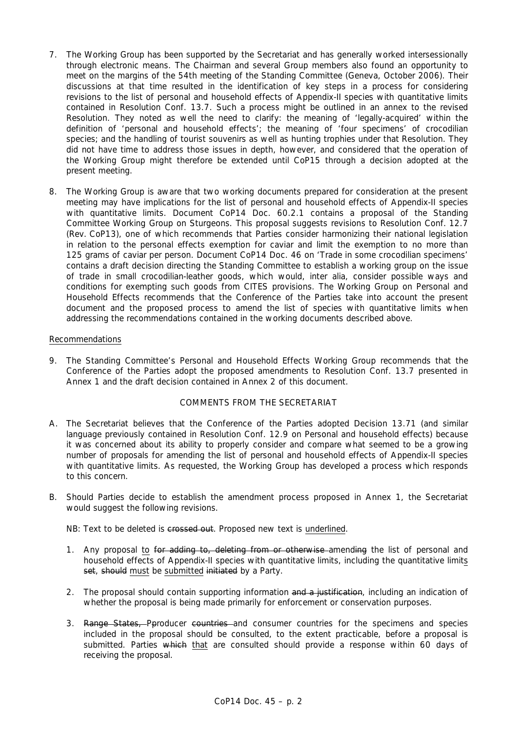- 7. The Working Group has been supported by the Secretariat and has generally worked intersessionally through electronic means. The Chairman and several Group members also found an opportunity to meet on the margins of the 54th meeting of the Standing Committee (Geneva, October 2006). Their discussions at that time resulted in the identification of key steps in a process for considering revisions to the list of personal and household effects of Appendix-II species with quantitative limits contained in Resolution Conf. 13.7. Such a process might be outlined in an annex to the revised Resolution. They noted as well the need to clarify: the meaning of 'legally-acquired' within the definition of 'personal and household effects'; the meaning of 'four specimens' of crocodilian species; and the handling of tourist souvenirs as well as hunting trophies under that Resolution. They did not have time to address those issues in depth, however, and considered that the operation of the Working Group might therefore be extended until CoP15 through a decision adopted at the present meeting.
- 8. The Working Group is aware that two working documents prepared for consideration at the present meeting may have implications for the list of personal and household effects of Appendix-II species with quantitative limits. Document CoP14 Doc. 60.2.1 contains a proposal of the Standing Committee Working Group on Sturgeons. This proposal suggests revisions to Resolution Conf. 12.7 (Rev. CoP13), one of which recommends that Parties consider harmonizing their national legislation in relation to the personal effects exemption for caviar and limit the exemption to no more than 125 grams of caviar per person. Document CoP14 Doc. 46 on 'Trade in some crocodilian specimens' contains a draft decision directing the Standing Committee to establish a working group on the issue of trade in small crocodilian-leather goods, which would, *inter alia*, consider possible ways and conditions for exempting such goods from CITES provisions. The Working Group on Personal and Household Effects recommends that the Conference of the Parties take into account the present document and the proposed process to amend the list of species with quantitative limits when addressing the recommendations contained in the working documents described above.

## Recommendations

9. The Standing Committee's Personal and Household Effects Working Group recommends that the Conference of the Parties adopt the proposed amendments to Resolution Conf. 13.7 presented in Annex 1 and the draft decision contained in Annex 2 of this document.

#### COMMENTS FROM THE SECRETARIAT

- A. The Secretariat believes that the Conference of the Parties adopted Decision 13.71 (and similar language previously contained in Resolution Conf. 12.9 on Personal and household effects) because it was concerned about its ability to properly consider and compare what seemed to be a growing number of proposals for amending the list of personal and household effects of Appendix-II species with quantitative limits. As requested, the Working Group has developed a process which responds to this concern.
- B. Should Parties decide to establish the amendment process proposed in Annex 1, the Secretariat would suggest the following revisions.

NB: Text to be deleted is crossed out. Proposed new text is underlined.

- 1. Any proposal to for adding to, deleting from or otherwise amending the list of personal and household effects of Appendix-II species with quantitative limits, including the quantitative limits set, should must be submitted initiated by a Party.
- 2. The proposal should contain supporting information and a justification, including an indication of whether the proposal is being made primarily for enforcement or conservation purposes.
- 3. Range States, Pproducer countries and consumer countries for the specimens and species included in the proposal should be consulted, to the extent practicable, before a proposal is submitted. Parties which that are consulted should provide a response within 60 days of receiving the proposal.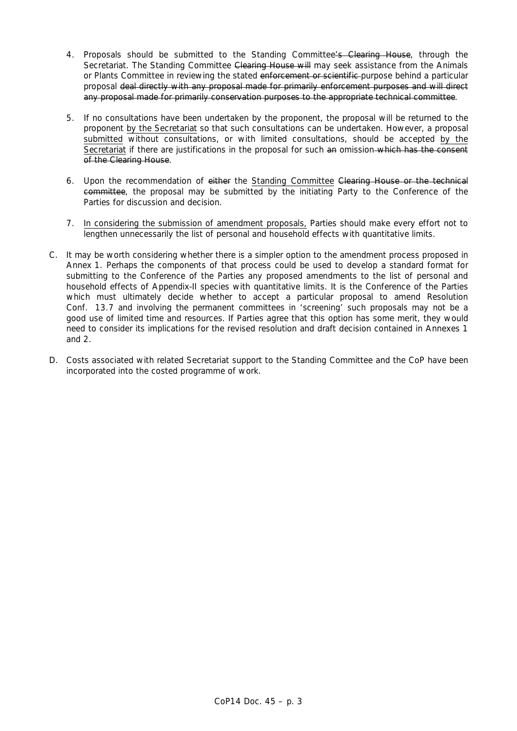- 4. Proposals should be submitted to the Standing Committee's Clearing House, through the Secretariat. The Standing Committee Clearing House will may seek assistance from the Animals or Plants Committee in reviewing the stated enforcement or scientific purpose behind a particular proposal deal directly with any proposal made for primarily enforcement purposes and will direct any proposal made for primarily conservation purposes to the appropriate technical committee.
- 5. If no consultations have been undertaken by the proponent, the proposal will be returned to the proponent by the Secretariat so that such consultations can be undertaken. However, a proposal submitted without consultations, or with limited consultations, should be accepted by the Secretariat if there are justifications in the proposal for such an omission which has the consent of the Clearing House.
- 6. Upon the recommendation of either the Standing Committee Clearing House or the technical committee, the proposal may be submitted by the initiating Party to the Conference of the Parties for discussion and decision.
- 7. In considering the submission of amendment proposals, Parties should make every effort not to lengthen unnecessarily the list of personal and household effects with quantitative limits.
- C. It may be worth considering whether there is a simpler option to the amendment process proposed in Annex 1. Perhaps the components of that process could be used to develop a standard format for submitting to the Conference of the Parties any proposed amendments to the list of personal and household effects of Appendix-II species with quantitative limits. It is the Conference of the Parties which must ultimately decide whether to accept a particular proposal to amend Resolution Conf. 13.7 and involving the permanent committees in 'screening' such proposals may not be a good use of limited time and resources. If Parties agree that this option has some merit, they would need to consider its implications for the revised resolution and draft decision contained in Annexes 1 and 2.
- D. Costs associated with related Secretariat support to the Standing Committee and the CoP have been incorporated into the costed programme of work.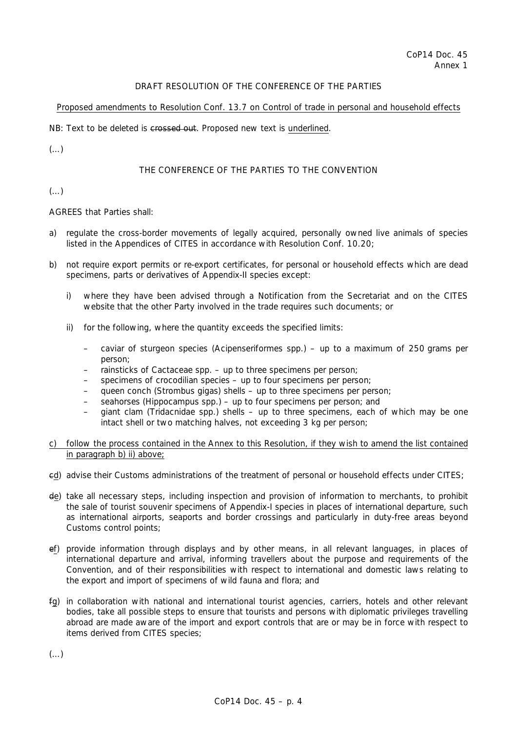## DRAFT RESOLUTION OF THE CONFERENCE OF THE PARTIES

## Proposed amendments to Resolution Conf. 13.7 on Control of trade in personal and household effects

NB: Text to be deleted is crossed out. Proposed new text is underlined.

 $(\ldots)$ 

# THE CONFERENCE OF THE PARTIES TO THE CONVENTION

# $(\ldots)$

AGREES that Parties shall:

- a) regulate the cross-border movements of legally acquired, personally owned live animals of species listed in the Appendices of CITES in accordance with Resolution Conf. 10.20;
- b) not require export permits or re-export certificates, for personal or household effects which are dead specimens, parts or derivatives of Appendix-II species except:
	- i) where they have been advised through a Notification from the Secretariat and on the CITES website that the other Party involved in the trade requires such documents; or
	- ii) for the following, where the quantity exceeds the specified limits:
		- caviar of sturgeon species (Acipenseriformes spp.) up to a maximum of 250 grams per person;
		- rainsticks of Cactaceae spp. up to three specimens per person;
		- specimens of crocodilian species up to four specimens per person;
		- queen conch (*Strombus gigas*) shells up to three specimens per person;
		- seahorses (*Hippocampus* spp.) up to four specimens per person; and
		- giant clam (Tridacnidae spp.) shells up to three specimens, each of which may be one intact shell or two matching halves, not exceeding 3 kg per person;
- c) follow the process contained in the Annex to this Resolution, if they wish to amend the list contained in paragraph b) ii) above;
- cd) advise their Customs administrations of the treatment of personal or household effects under CITES;
- de) take all necessary steps, including inspection and provision of information to merchants, to prohibit the sale of tourist souvenir specimens of Appendix-I species in places of international departure, such as international airports, seaports and border crossings and particularly in duty-free areas beyond Customs control points;
- ef) provide information through displays and by other means, in all relevant languages, in places of international departure and arrival, informing travellers about the purpose and requirements of the Convention, and of their responsibilities with respect to international and domestic laws relating to the export and import of specimens of wild fauna and flora; and
- fg) in collaboration with national and international tourist agencies, carriers, hotels and other relevant bodies, take all possible steps to ensure that tourists and persons with diplomatic privileges travelling abroad are made aware of the import and export controls that are or may be in force with respect to items derived from CITES species;

 $(\ldots)$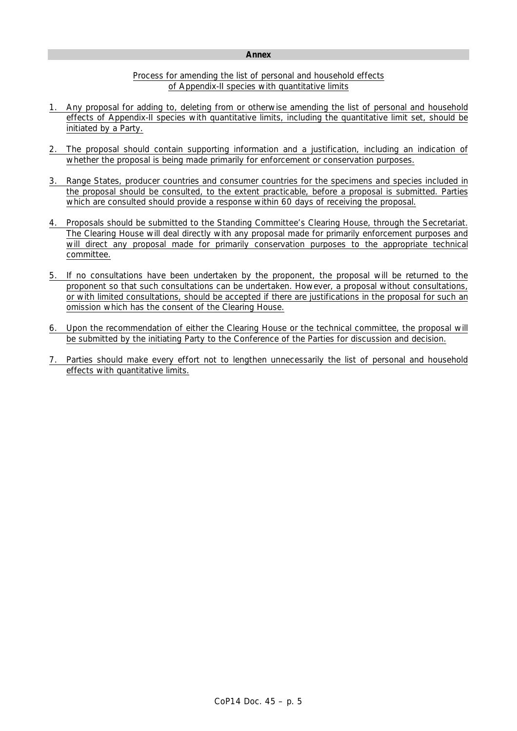#### **Annex**

## Process for amending the list of personal and household effects of Appendix-II species with quantitative limits

- 1. Any proposal for adding to, deleting from or otherwise amending the list of personal and household effects of Appendix-II species with quantitative limits, including the quantitative limit set, should be initiated by a Party.
- 2. The proposal should contain supporting information and a justification, including an indication of whether the proposal is being made primarily for enforcement or conservation purposes.
- 3. Range States, producer countries and consumer countries for the specimens and species included in the proposal should be consulted, to the extent practicable, before a proposal is submitted. Parties which are consulted should provide a response within 60 days of receiving the proposal.
- 4. Proposals should be submitted to the Standing Committee's Clearing House, through the Secretariat. The Clearing House will deal directly with any proposal made for primarily enforcement purposes and will direct any proposal made for primarily conservation purposes to the appropriate technical committee.
- 5. If no consultations have been undertaken by the proponent, the proposal will be returned to the proponent so that such consultations can be undertaken. However, a proposal without consultations, or with limited consultations, should be accepted if there are justifications in the proposal for such an omission which has the consent of the Clearing House.
- 6. Upon the recommendation of either the Clearing House or the technical committee, the proposal will be submitted by the initiating Party to the Conference of the Parties for discussion and decision.
- 7. Parties should make every effort not to lengthen unnecessarily the list of personal and household effects with quantitative limits.